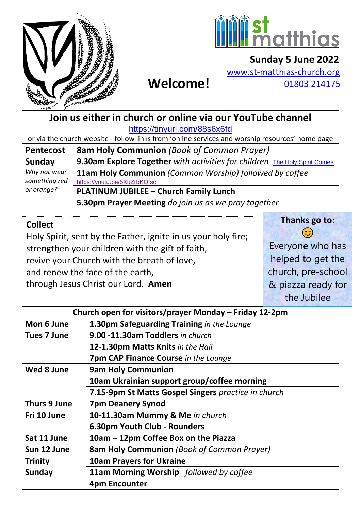



## **Sunday 5 June 2022** [www.st-matthias-church.org](http://www.st-matthias-church.org/)

 **Welcome!**

01803 214175

**Join us either in church or online via our YouTube channel** <https://tinyurl.com/88s6x6fd>

or via the church website - follow links from 'online services and worship resources' home page

| <b>Pentecost</b>              | <b>8am Holy Communion</b> (Book of Common Prayer)                                       |
|-------------------------------|-----------------------------------------------------------------------------------------|
| Sunday                        | 9.30am Explore Together with activities for children The Holy Spirit Comes              |
| Why not wear<br>something red | 11am Holy Communion (Common Worship) followed by coffee<br>https://youtu.be/5XuZrbKOfsc |
| or orange?                    | PLATINUM JUBILEE - Church Family Lunch                                                  |
|                               | 5.30pm Prayer Meeting do join us as we pray together                                    |

#### **Collect**

Holy Spirit, sent by the Father, ignite in us your holy fire; strengthen your children with the gift of faith, revive your Church with the breath of love, and renew the face of the earth, through Jesus Christ our Lord. **Amen** 

**Thanks go to:**

 $\odot$ Everyone who has helped to get the church, pre-school & piazza ready for the Jubilee

| Church open for visitors/prayer Monday - Friday 12-2pm |                                                     |
|--------------------------------------------------------|-----------------------------------------------------|
| Mon 6 June                                             | 1.30pm Safeguarding Training in the Lounge          |
| <b>Tues 7 June</b>                                     | 9.00 -11.30am Toddlers in church                    |
|                                                        | 12-1.30pm Matts Knits in the Hall                   |
|                                                        | <b>7pm CAP Finance Course in the Lounge</b>         |
| Wed 8 June                                             | <b>9am Holy Communion</b>                           |
|                                                        | 10am Ukrainian support group/coffee morning         |
|                                                        | 7.15-9pm St Matts Gospel Singers practice in church |
| Thurs 9 June                                           | <b>7pm Deanery Synod</b>                            |
| Fri 10 June                                            | 10-11.30am Mummy & Me in church                     |
|                                                        | 6.30pm Youth Club - Rounders                        |
| Sat 11 June                                            | 10am - 12pm Coffee Box on the Piazza                |
| Sun 12 June                                            | <b>8am Holy Communion</b> (Book of Common Prayer)   |
| <b>Trinity</b>                                         | <b>10am Prayers for Ukraine</b>                     |
| Sunday                                                 | 11am Morning Worship followed by coffee             |
|                                                        | <b>4pm Encounter</b>                                |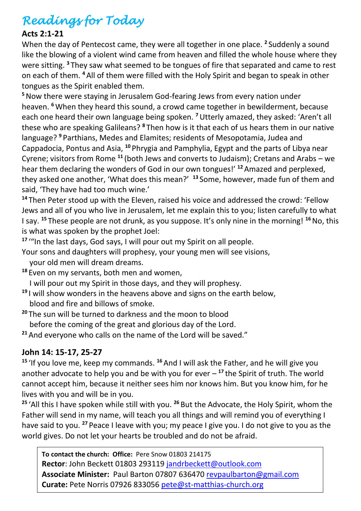# *Readings for Today*

#### **Acts 2:1-21**

When the day of Pentecost came, they were all together in one place. **<sup>2</sup>** Suddenly a sound like the blowing of a violent wind came from heaven and filled the whole house where they were sitting. **<sup>3</sup>** They saw what seemed to be tongues of fire that separated and came to rest on each of them. **<sup>4</sup>** All of them were filled with the Holy Spirit and began to speak in other tongues as the Spirit enabled them.

**<sup>5</sup>**Now there were staying in Jerusalem God-fearing Jews from every nation under heaven. **<sup>6</sup>**When they heard this sound, a crowd came together in bewilderment, because each one heard their own language being spoken. **<sup>7</sup>**Utterly amazed, they asked: 'Aren't all these who are speaking Galileans? **<sup>8</sup>** Then how is it that each of us hears them in our native language? **<sup>9</sup>** Parthians, Medes and Elamites; residents of Mesopotamia, Judea and Cappadocia, Pontus and Asia, **<sup>10</sup>** Phrygia and Pamphylia, Egypt and the parts of Libya near Cyrene; visitors from Rome **<sup>11</sup>** (both Jews and converts to Judaism); Cretans and Arabs – we hear them declaring the wonders of God in our own tongues!' **<sup>12</sup>**Amazed and perplexed, they asked one another, 'What does this mean?' **<sup>13</sup>** Some, however, made fun of them and said, 'They have had too much wine.'

**<sup>14</sup>** Then Peter stood up with the Eleven, raised his voice and addressed the crowd: 'Fellow Jews and all of you who live in Jerusalem, let me explain this to you; listen carefully to what I say. **<sup>15</sup>** These people are not drunk, as you suppose. It's only nine in the morning! **<sup>16</sup>**No, this is what was spoken by the prophet Joel:

**<sup>17</sup>** '"In the last days, God says, I will pour out my Spirit on all people.

Your sons and daughters will prophesy, your young men will see visions,

- your old men will dream dreams.
- **<sup>18</sup>** Even on my servants, both men and women,
	- I will pour out my Spirit in those days, and they will prophesy.
- **<sup>19</sup>** I will show wonders in the heavens above and signs on the earth below, blood and fire and billows of smoke.
- **<sup>20</sup>** The sun will be turned to darkness and the moon to blood before the coming of the great and glorious day of the Lord.
- **<sup>21</sup>** And everyone who calls on the name of the Lord will be saved."

#### **John 14: 15-17, 25-27**

**<sup>15</sup>** 'If you love me, keep my commands. **<sup>16</sup>** And I will ask the Father, and he will give you another advocate to help you and be with you for ever – **<sup>17</sup>** the Spirit of truth. The world cannot accept him, because it neither sees him nor knows him. But you know him, for he lives with you and will be in you.

**<sup>25</sup>** 'All this I have spoken while still with you. **<sup>26</sup>** But the Advocate, the Holy Spirit, whom the Father will send in my name, will teach you all things and will remind you of everything I have said to you. **<sup>27</sup>** Peace I leave with you; my peace I give you. I do not give to you as the world gives. Do not let your hearts be troubled and do not be afraid.

**To contact the church: Office:** Pere Snow 01803 214175 **Rector**: John Beckett 01803 293119 [jandrbeckett@outlook.com](mailto:jandrbeckett@outlook.com) **Associate Minister:** Paul Barton 07807 636470 [revpaulbarton@gmail.com](mailto:revpaulbarton@gmail.com) **Curate:** Pete Norris 07926 833056 [pete@st-matthias-church.org](mailto:pete@st-matthias-church.org)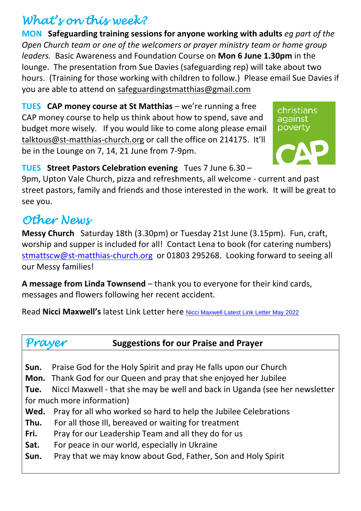# *What's on this week?*

**MON Safeguarding training sessions for anyone working with adults** *eg part of the Open Church team or one of the welcomers or prayer ministry team or home group leaders.*Basic Awareness and Foundation Course on **Mon 6 June 1.30pm** in the lounge. The presentation from Sue Davies (safeguarding rep) will take about two hours. (Training for those working with children to follow.) Please email Sue Davies if you are able to attend on [safeguardingstmatthias@gmail.com](mailto:safeguardingstmatthias@gmail.com)

**TUES CAP money course at St Matthias** – we're running a free CAP money course to help us think about how to spend, save and budget more wisely. If you would like to come along please email [talktous@st-matthias-church.org](mailto:talktous@st-matthias-church.org) or call the office on 214175. It'll be in the Lounge on 7, 14, 21 June from 7-9pm.

christians against poverty

## **TUES Street Pastors Celebration evening** Tues 7 June 6.30 –

9pm, Upton Vale Church, pizza and refreshments, all welcome - current and past street pastors, family and friends and those interested in the work. It will be great to see you.

# *Other News*

**Messy Church** Saturday 18th (3.30pm) or Tuesday 21st June (3.15pm). Fun, craft, worship and supper is included for all! Contact Lena to book (for catering numbers) [stmattscw@st-matthias-church.org](mailto:stmattscw@st-matthias-church.org) or 01803 295268. Looking forward to seeing all our Messy families!

**A message from Linda Townsend** – thank you to everyone for their kind cards, messages and flowers following her recent accident.

Read **Nicci Maxwell's** latest Link Letter here [Nicci Maxwell Latest Link Letter May 2022](https://d3hgrlq6yacptf.cloudfront.net/5f107d5e319c5/content/pages/documents/cms-link-letter-maxwell-may-2022.pdf)

# *Prayer* **Suggestions for our Praise and Prayer**

- **Sun.** Praise God for the Holy Spirit and pray He falls upon our Church
- **Mon.** Thank God for our Queen and pray that she enjoyed her Jubilee

**Tue.** Nicci Maxwell - that she may be well and back in Uganda (see her newsletter for much more information)

- **Wed.** Pray for all who worked so hard to help the Jubilee Celebrations
- **Thu.** For all those Ill, bereaved or waiting for treatment
- **Fri.** Pray for our Leadership Team and all they do for us
- **Sat.** For peace in our world, especially in Ukraine
- **Sun.** Pray that we may know about God, Father, Son and Holy Spirit